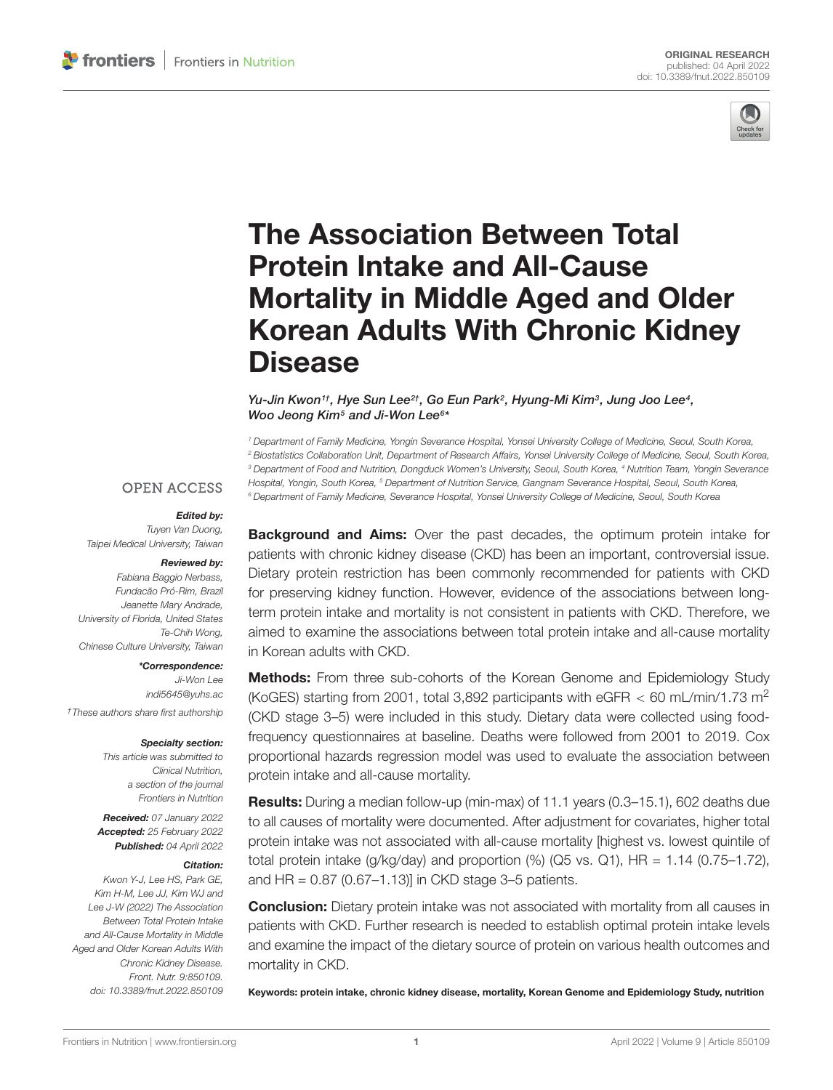

# The Association Between Total Protein Intake and All-Cause Mortality in Middle Aged and Older [Korean Adults With Chronic Kidney](https://www.frontiersin.org/articles/10.3389/fnut.2022.850109/full) **Disease**

Yu-Jin Kwon1t, Hye Sun Lee<sup>2†</sup>, Go Eun Park<sup>2</sup>, Hyung-Mi Kim<sup>3</sup>, Jung Joo Lee4, Woo Jeong Kim<sup>5</sup> and Ji-Won Lee<sup>6\*</sup>

<sup>1</sup> Department of Family Medicine, Yongin Severance Hospital, Yonsei University College of Medicine, Seoul, South Korea, <sup>2</sup> Biostatistics Collaboration Unit, Department of Research Affairs, Yonsei University College of Medicine, Seoul, South Korea, <sup>3</sup> Department of Food and Nutrition, Dongduck Women's University, Seoul, South Korea, <sup>4</sup> Nutrition Team, Yongin Severance Hospital, Yongin, South Korea, <sup>5</sup> Department of Nutrition Service, Gangnam Severance Hospital, Seoul, South Korea, <sup>6</sup> Department of Family Medicine, Severance Hospital, Yonsei University College of Medicine, Seoul, South Korea

#### **OPEN ACCESS**

#### Edited by:

Tuyen Van Duong, Taipei Medical University, Taiwan

#### Reviewed by:

Fabiana Baggio Nerbass, Fundacão Pró-Rim, Brazil Jeanette Mary Andrade, University of Florida, United States Te-Chih Wong, Chinese Culture University, Taiwan

#### \*Correspondence:

Ji-Won Lee indi5645@yuhs.ac †These authors share first authorship

#### Specialty section:

This article was submitted to Clinical Nutrition, a section of the journal Frontiers in Nutrition

Received: 07 January 2022 Accepted: 25 February 2022 Published: 04 April 2022

#### Citation:

Kwon Y-J, Lee HS, Park GE, Kim H-M, Lee JJ, Kim WJ and Lee J-W (2022) The Association Between Total Protein Intake and All-Cause Mortality in Middle Aged and Older Korean Adults With Chronic Kidney Disease. Front. Nutr. 9:850109. doi: [10.3389/fnut.2022.850109](https://doi.org/10.3389/fnut.2022.850109) **Background and Aims:** Over the past decades, the optimum protein intake for patients with chronic kidney disease (CKD) has been an important, controversial issue. Dietary protein restriction has been commonly recommended for patients with CKD for preserving kidney function. However, evidence of the associations between longterm protein intake and mortality is not consistent in patients with CKD. Therefore, we aimed to examine the associations between total protein intake and all-cause mortality in Korean adults with CKD.

Methods: From three sub-cohorts of the Korean Genome and Epidemiology Study (KoGES) starting from 2001, total 3,892 participants with eGFR  $<$  60 mL/min/1.73 m<sup>2</sup> (CKD stage 3–5) were included in this study. Dietary data were collected using foodfrequency questionnaires at baseline. Deaths were followed from 2001 to 2019. Cox proportional hazards regression model was used to evaluate the association between protein intake and all-cause mortality.

Results: During a median follow-up (min-max) of 11.1 years (0.3–15.1), 602 deaths due to all causes of mortality were documented. After adjustment for covariates, higher total protein intake was not associated with all-cause mortality [highest vs. lowest quintile of total protein intake  $(q/kg/day)$  and proportion  $(\%)$  (Q5 vs. Q1), HR = 1.14 (0.75–1.72), and HR =  $0.87$  (0.67–1.13)] in CKD stage 3–5 patients.

**Conclusion:** Dietary protein intake was not associated with mortality from all causes in patients with CKD. Further research is needed to establish optimal protein intake levels and examine the impact of the dietary source of protein on various health outcomes and mortality in CKD.

Keywords: protein intake, chronic kidney disease, mortality, Korean Genome and Epidemiology Study, nutrition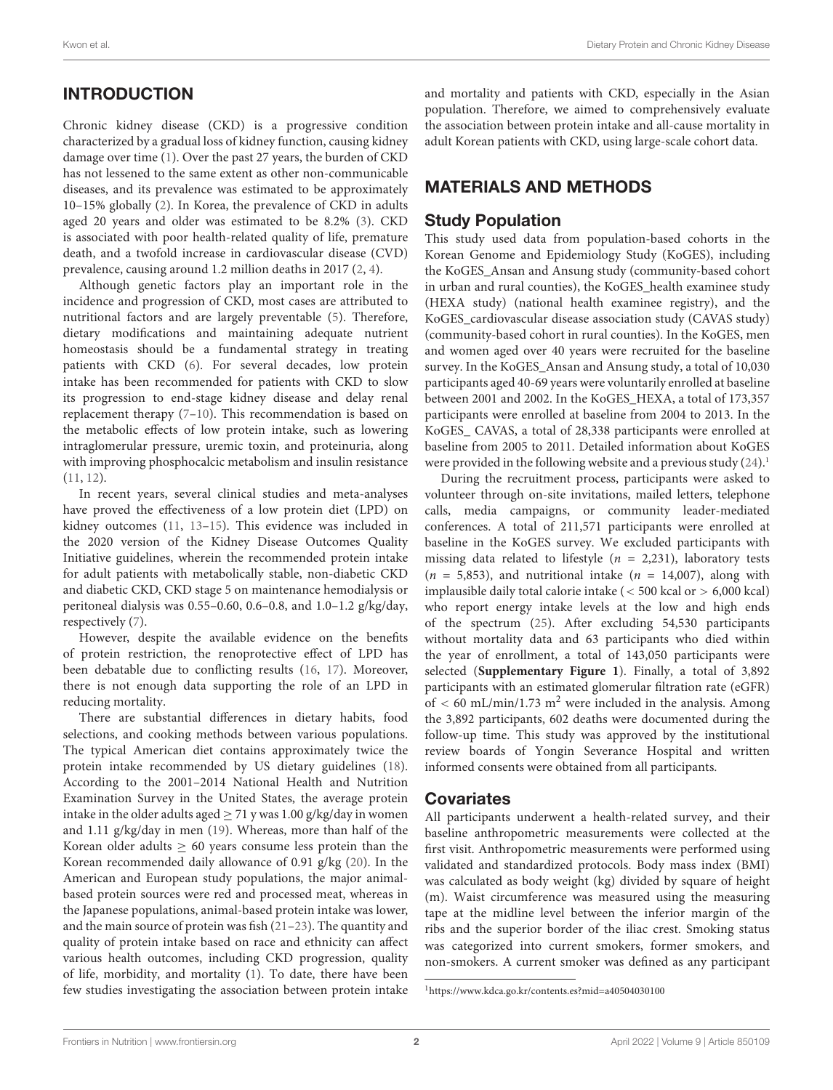# **INTRODUCTION**

Chronic kidney disease (CKD) is a progressive condition characterized by a gradual loss of kidney function, causing kidney damage over time [\(1\)](#page-7-0). Over the past 27 years, the burden of CKD has not lessened to the same extent as other non-communicable diseases, and its prevalence was estimated to be approximately 10–15% globally [\(2\)](#page-7-1). In Korea, the prevalence of CKD in adults aged 20 years and older was estimated to be 8.2% [\(3\)](#page-7-2). CKD is associated with poor health-related quality of life, premature death, and a twofold increase in cardiovascular disease (CVD) prevalence, causing around 1.2 million deaths in 2017 [\(2,](#page-7-1) [4\)](#page-7-3).

Although genetic factors play an important role in the incidence and progression of CKD, most cases are attributed to nutritional factors and are largely preventable [\(5\)](#page-7-4). Therefore, dietary modifications and maintaining adequate nutrient homeostasis should be a fundamental strategy in treating patients with CKD [\(6\)](#page-7-5). For several decades, low protein intake has been recommended for patients with CKD to slow its progression to end-stage kidney disease and delay renal replacement therapy [\(7](#page-7-6)[–10\)](#page-7-7). This recommendation is based on the metabolic effects of low protein intake, such as lowering intraglomerular pressure, uremic toxin, and proteinuria, along with improving phosphocalcic metabolism and insulin resistance [\(11,](#page-7-8) [12\)](#page-7-9).

In recent years, several clinical studies and meta-analyses have proved the effectiveness of a low protein diet (LPD) on kidney outcomes [\(11,](#page-7-8) [13–](#page-7-10)[15\)](#page-7-11). This evidence was included in the 2020 version of the Kidney Disease Outcomes Quality Initiative guidelines, wherein the recommended protein intake for adult patients with metabolically stable, non-diabetic CKD and diabetic CKD, CKD stage 5 on maintenance hemodialysis or peritoneal dialysis was 0.55–0.60, 0.6–0.8, and 1.0–1.2 g/kg/day, respectively [\(7\)](#page-7-6).

However, despite the available evidence on the benefits of protein restriction, the renoprotective effect of LPD has been debatable due to conflicting results [\(16,](#page-8-0) [17\)](#page-8-1). Moreover, there is not enough data supporting the role of an LPD in reducing mortality.

There are substantial differences in dietary habits, food selections, and cooking methods between various populations. The typical American diet contains approximately twice the protein intake recommended by US dietary guidelines [\(18\)](#page-8-2). According to the 2001–2014 National Health and Nutrition Examination Survey in the United States, the average protein intake in the older adults aged  $\geq$  71 y was 1.00 g/kg/day in women and 1.11 g/kg/day in men [\(19\)](#page-8-3). Whereas, more than half of the Korean older adults  $\geq 60$  years consume less protein than the Korean recommended daily allowance of 0.91 g/kg [\(20\)](#page-8-4). In the American and European study populations, the major animalbased protein sources were red and processed meat, whereas in the Japanese populations, animal-based protein intake was lower, and the main source of protein was fish [\(21–](#page-8-5)[23\)](#page-8-6). The quantity and quality of protein intake based on race and ethnicity can affect various health outcomes, including CKD progression, quality of life, morbidity, and mortality [\(1\)](#page-7-0). To date, there have been few studies investigating the association between protein intake and mortality and patients with CKD, especially in the Asian population. Therefore, we aimed to comprehensively evaluate the association between protein intake and all-cause mortality in adult Korean patients with CKD, using large-scale cohort data.

# MATERIALS AND METHODS

### Study Population

This study used data from population-based cohorts in the Korean Genome and Epidemiology Study (KoGES), including the KoGES\_Ansan and Ansung study (community-based cohort in urban and rural counties), the KoGES\_health examinee study (HEXA study) (national health examinee registry), and the KoGES\_cardiovascular disease association study (CAVAS study) (community-based cohort in rural counties). In the KoGES, men and women aged over 40 years were recruited for the baseline survey. In the KoGES\_Ansan and Ansung study, a total of 10,030 participants aged 40-69 years were voluntarily enrolled at baseline between 2001 and 2002. In the KoGES\_HEXA, a total of 173,357 participants were enrolled at baseline from 2004 to 2013. In the KoGES\_ CAVAS, a total of 28,338 participants were enrolled at baseline from 2005 to 2011. Detailed information about KoGES were provided in the following website and a previous study  $(24)^{11}$  $(24)^{11}$  $(24)^{11}$  $(24)^{11}$ .

During the recruitment process, participants were asked to volunteer through on-site invitations, mailed letters, telephone calls, media campaigns, or community leader-mediated conferences. A total of 211,571 participants were enrolled at baseline in the KoGES survey. We excluded participants with missing data related to lifestyle ( $n = 2,231$ ), laboratory tests  $(n = 5,853)$ , and nutritional intake  $(n = 14,007)$ , along with implausible daily total calorie intake (< 500 kcal or > 6,000 kcal) who report energy intake levels at the low and high ends of the spectrum [\(25\)](#page-8-8). After excluding 54,530 participants without mortality data and 63 participants who died within the year of enrollment, a total of 143,050 participants were selected (**[Supplementary Figure 1](#page-7-12)**). Finally, a total of 3,892 participants with an estimated glomerular filtration rate (eGFR) of  $< 60$  mL/min/1.73 m<sup>2</sup> were included in the analysis. Among the 3,892 participants, 602 deaths were documented during the follow-up time. This study was approved by the institutional review boards of Yongin Severance Hospital and written informed consents were obtained from all participants.

#### **Covariates**

All participants underwent a health-related survey, and their baseline anthropometric measurements were collected at the first visit. Anthropometric measurements were performed using validated and standardized protocols. Body mass index (BMI) was calculated as body weight (kg) divided by square of height (m). Waist circumference was measured using the measuring tape at the midline level between the inferior margin of the ribs and the superior border of the iliac crest. Smoking status was categorized into current smokers, former smokers, and non-smokers. A current smoker was defined as any participant

<span id="page-1-0"></span><sup>1</sup><https://www.kdca.go.kr/contents.es?mid=a40504030100>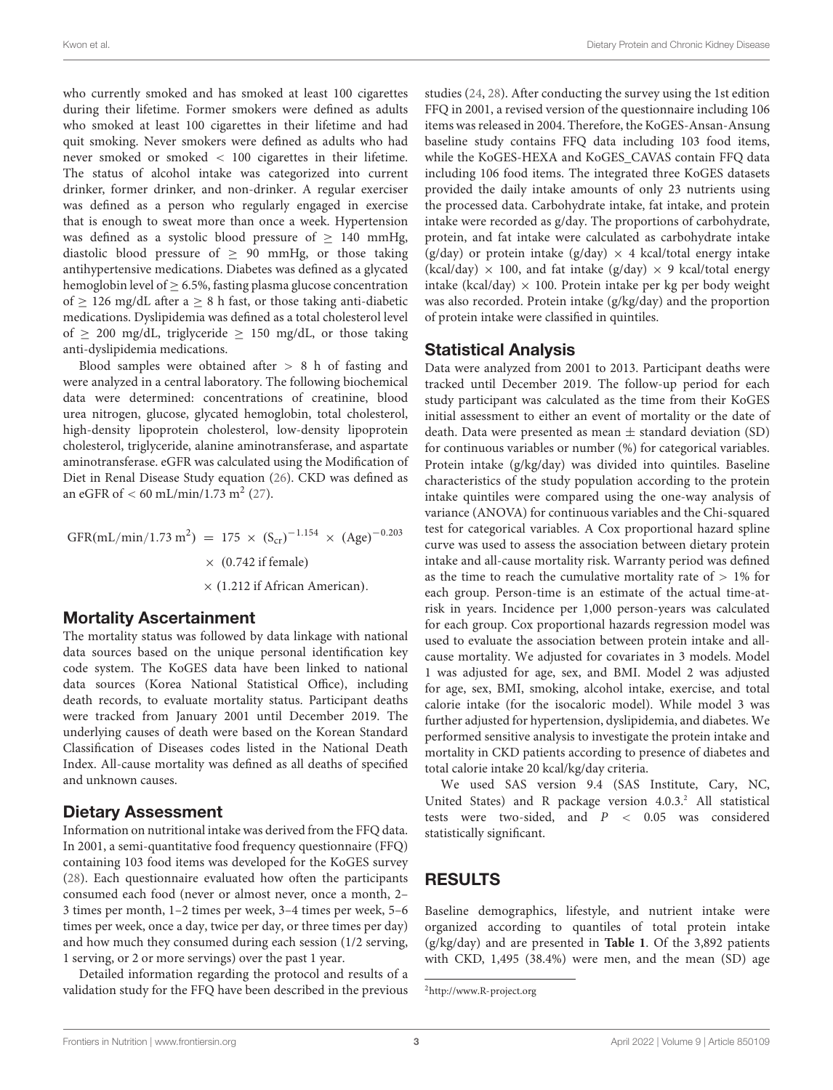who currently smoked and has smoked at least 100 cigarettes during their lifetime. Former smokers were defined as adults who smoked at least 100 cigarettes in their lifetime and had quit smoking. Never smokers were defined as adults who had never smoked or smoked < 100 cigarettes in their lifetime. The status of alcohol intake was categorized into current drinker, former drinker, and non-drinker. A regular exerciser was defined as a person who regularly engaged in exercise that is enough to sweat more than once a week. Hypertension was defined as a systolic blood pressure of  $\geq$  140 mmHg, diastolic blood pressure of  $\geq$  90 mmHg, or those taking antihypertensive medications. Diabetes was defined as a glycated hemoglobin level of  $\geq$  6.5%, fasting plasma glucose concentration of  $> 126$  mg/dL after a  $> 8$  h fast, or those taking anti-diabetic medications. Dyslipidemia was defined as a total cholesterol level of  $\geq$  200 mg/dL, triglyceride  $\geq$  150 mg/dL, or those taking anti-dyslipidemia medications.

Blood samples were obtained after > 8 h of fasting and were analyzed in a central laboratory. The following biochemical data were determined: concentrations of creatinine, blood urea nitrogen, glucose, glycated hemoglobin, total cholesterol, high-density lipoprotein cholesterol, low-density lipoprotein cholesterol, triglyceride, alanine aminotransferase, and aspartate aminotransferase. eGFR was calculated using the Modification of Diet in Renal Disease Study equation [\(26\)](#page-8-9). CKD was defined as an eGFR of  $< 60 \text{ mL/min}/1.73 \text{ m}^2$  [\(27\)](#page-8-10).

GFR(mL/min/1.73 m<sup>2</sup>) = 175 × (S<sub>cr</sub>)<sup>-1.154</sup> × (Age)<sup>-0.203</sup>  $\times$  (0.742 if female) × (1.212 if African American).

#### Mortality Ascertainment

The mortality status was followed by data linkage with national data sources based on the unique personal identification key code system. The KoGES data have been linked to national data sources (Korea National Statistical Office), including death records, to evaluate mortality status. Participant deaths were tracked from January 2001 until December 2019. The underlying causes of death were based on the Korean Standard Classification of Diseases codes listed in the National Death Index. All-cause mortality was defined as all deaths of specified and unknown causes.

#### Dietary Assessment

Information on nutritional intake was derived from the FFQ data. In 2001, a semi-quantitative food frequency questionnaire (FFQ) containing 103 food items was developed for the KoGES survey [\(28\)](#page-8-11). Each questionnaire evaluated how often the participants consumed each food (never or almost never, once a month, 2– 3 times per month, 1–2 times per week, 3–4 times per week, 5–6 times per week, once a day, twice per day, or three times per day) and how much they consumed during each session (1/2 serving, 1 serving, or 2 or more servings) over the past 1 year.

Detailed information regarding the protocol and results of a validation study for the FFQ have been described in the previous studies [\(24,](#page-8-7) [28\)](#page-8-11). After conducting the survey using the 1st edition FFQ in 2001, a revised version of the questionnaire including 106 items was released in 2004. Therefore, the KoGES-Ansan-Ansung baseline study contains FFQ data including 103 food items, while the KoGES-HEXA and KoGES\_CAVAS contain FFQ data including 106 food items. The integrated three KoGES datasets provided the daily intake amounts of only 23 nutrients using the processed data. Carbohydrate intake, fat intake, and protein intake were recorded as g/day. The proportions of carbohydrate, protein, and fat intake were calculated as carbohydrate intake (g/day) or protein intake (g/day)  $\times$  4 kcal/total energy intake (kcal/day)  $\times$  100, and fat intake (g/day)  $\times$  9 kcal/total energy intake (kcal/day)  $\times$  100. Protein intake per kg per body weight was also recorded. Protein intake (g/kg/day) and the proportion of protein intake were classified in quintiles.

### Statistical Analysis

Data were analyzed from 2001 to 2013. Participant deaths were tracked until December 2019. The follow-up period for each study participant was calculated as the time from their KoGES initial assessment to either an event of mortality or the date of death. Data were presented as mean  $\pm$  standard deviation (SD) for continuous variables or number (%) for categorical variables. Protein intake (g/kg/day) was divided into quintiles. Baseline characteristics of the study population according to the protein intake quintiles were compared using the one-way analysis of variance (ANOVA) for continuous variables and the Chi-squared test for categorical variables. A Cox proportional hazard spline curve was used to assess the association between dietary protein intake and all-cause mortality risk. Warranty period was defined as the time to reach the cumulative mortality rate of  $> 1\%$  for each group. Person-time is an estimate of the actual time-atrisk in years. Incidence per 1,000 person-years was calculated for each group. Cox proportional hazards regression model was used to evaluate the association between protein intake and allcause mortality. We adjusted for covariates in 3 models. Model 1 was adjusted for age, sex, and BMI. Model 2 was adjusted for age, sex, BMI, smoking, alcohol intake, exercise, and total calorie intake (for the isocaloric model). While model 3 was further adjusted for hypertension, dyslipidemia, and diabetes. We performed sensitive analysis to investigate the protein intake and mortality in CKD patients according to presence of diabetes and total calorie intake 20 kcal/kg/day criteria.

We used SAS version 9.4 (SAS Institute, Cary, NC, United States) and R package version  $4.0.3<sup>2</sup>$  $4.0.3<sup>2</sup>$  $4.0.3<sup>2</sup>$  All statistical tests were two-sided, and P < 0.05 was considered statistically significant.

### RESULTS

Baseline demographics, lifestyle, and nutrient intake were organized according to quantiles of total protein intake (g/kg/day) and are presented in **[Table 1](#page-4-0)**. Of the 3,892 patients with CKD, 1,495 (38.4%) were men, and the mean (SD) age

<span id="page-2-0"></span><sup>2</sup><http://www.R-project.org>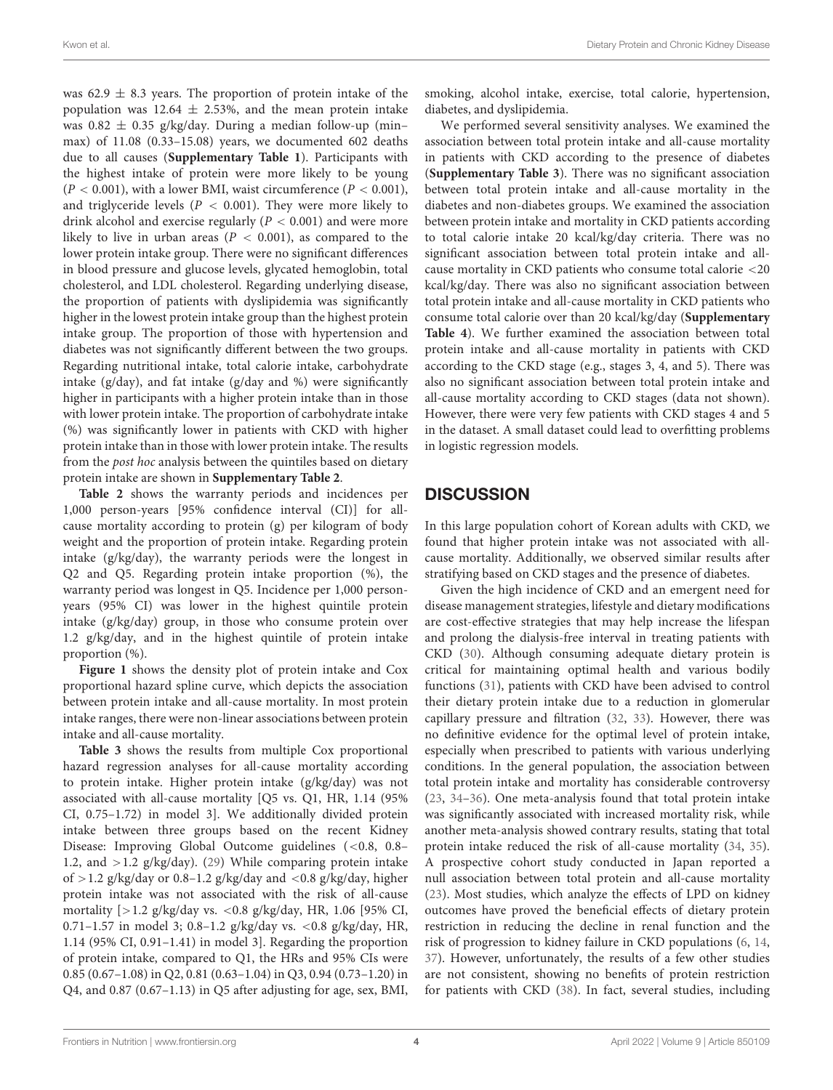was  $62.9 \pm 8.3$  years. The proportion of protein intake of the population was 12.64  $\pm$  2.53%, and the mean protein intake was  $0.82 \pm 0.35$  g/kg/day. During a median follow-up (minmax) of 11.08 (0.33–15.08) years, we documented 602 deaths due to all causes (**[Supplementary Table 1](#page-7-12)**). Participants with the highest intake of protein were more likely to be young  $(P < 0.001)$ , with a lower BMI, waist circumference  $(P < 0.001)$ , and triglyceride levels ( $P < 0.001$ ). They were more likely to drink alcohol and exercise regularly ( $P < 0.001$ ) and were more likely to live in urban areas ( $P < 0.001$ ), as compared to the lower protein intake group. There were no significant differences in blood pressure and glucose levels, glycated hemoglobin, total cholesterol, and LDL cholesterol. Regarding underlying disease, the proportion of patients with dyslipidemia was significantly higher in the lowest protein intake group than the highest protein intake group. The proportion of those with hypertension and diabetes was not significantly different between the two groups. Regarding nutritional intake, total calorie intake, carbohydrate intake (g/day), and fat intake (g/day and %) were significantly higher in participants with a higher protein intake than in those with lower protein intake. The proportion of carbohydrate intake (%) was significantly lower in patients with CKD with higher protein intake than in those with lower protein intake. The results from the post hoc analysis between the quintiles based on dietary protein intake are shown in **[Supplementary Table 2](#page-7-12)**.

**[Table 2](#page-5-0)** shows the warranty periods and incidences per 1,000 person-years [95% confidence interval (CI)] for allcause mortality according to protein (g) per kilogram of body weight and the proportion of protein intake. Regarding protein intake (g/kg/day), the warranty periods were the longest in Q2 and Q5. Regarding protein intake proportion (%), the warranty period was longest in Q5. Incidence per 1,000 personyears (95% CI) was lower in the highest quintile protein intake (g/kg/day) group, in those who consume protein over 1.2 g/kg/day, and in the highest quintile of protein intake proportion (%).

**[Figure 1](#page-5-1)** shows the density plot of protein intake and Cox proportional hazard spline curve, which depicts the association between protein intake and all-cause mortality. In most protein intake ranges, there were non-linear associations between protein intake and all-cause mortality.

**[Table 3](#page-6-0)** shows the results from multiple Cox proportional hazard regression analyses for all-cause mortality according to protein intake. Higher protein intake (g/kg/day) was not associated with all-cause mortality [Q5 vs. Q1, HR, 1.14 (95% CI, 0.75–1.72) in model 3]. We additionally divided protein intake between three groups based on the recent Kidney Disease: Improving Global Outcome guidelines (<0.8, 0.8– 1.2, and  $>1.2$  g/kg/day). [\(29\)](#page-8-12) While comparing protein intake of  $>1.2$  g/kg/day or 0.8–1.2 g/kg/day and  $<$ 0.8 g/kg/day, higher protein intake was not associated with the risk of all-cause mortality [>1.2 g/kg/day vs. <0.8 g/kg/day, HR, 1.06 [95% CI, 0.71–1.57 in model 3; 0.8–1.2 g/kg/day vs. <0.8 g/kg/day, HR, 1.14 (95% CI, 0.91–1.41) in model 3]. Regarding the proportion of protein intake, compared to Q1, the HRs and 95% CIs were 0.85 (0.67–1.08) in Q2, 0.81 (0.63–1.04) in Q3, 0.94 (0.73–1.20) in Q4, and 0.87 (0.67–1.13) in Q5 after adjusting for age, sex, BMI,

smoking, alcohol intake, exercise, total calorie, hypertension, diabetes, and dyslipidemia.

We performed several sensitivity analyses. We examined the association between total protein intake and all-cause mortality in patients with CKD according to the presence of diabetes (**[Supplementary Table 3](#page-7-12)**). There was no significant association between total protein intake and all-cause mortality in the diabetes and non-diabetes groups. We examined the association between protein intake and mortality in CKD patients according to total calorie intake 20 kcal/kg/day criteria. There was no significant association between total protein intake and allcause mortality in CKD patients who consume total calorie <20 kcal/kg/day. There was also no significant association between total protein intake and all-cause mortality in CKD patients who consume total calorie over than 20 kcal/kg/day (**[Supplementary](#page-7-12) [Table 4](#page-7-12)**). We further examined the association between total protein intake and all-cause mortality in patients with CKD according to the CKD stage (e.g., stages 3, 4, and 5). There was also no significant association between total protein intake and all-cause mortality according to CKD stages (data not shown). However, there were very few patients with CKD stages 4 and 5 in the dataset. A small dataset could lead to overfitting problems in logistic regression models.

### **DISCUSSION**

In this large population cohort of Korean adults with CKD, we found that higher protein intake was not associated with allcause mortality. Additionally, we observed similar results after stratifying based on CKD stages and the presence of diabetes.

Given the high incidence of CKD and an emergent need for disease management strategies, lifestyle and dietary modifications are cost-effective strategies that may help increase the lifespan and prolong the dialysis-free interval in treating patients with CKD [\(30\)](#page-8-13). Although consuming adequate dietary protein is critical for maintaining optimal health and various bodily functions [\(31\)](#page-8-14), patients with CKD have been advised to control their dietary protein intake due to a reduction in glomerular capillary pressure and filtration [\(32,](#page-8-15) [33\)](#page-8-16). However, there was no definitive evidence for the optimal level of protein intake, especially when prescribed to patients with various underlying conditions. In the general population, the association between total protein intake and mortality has considerable controversy [\(23,](#page-8-6) [34–](#page-8-17)[36\)](#page-8-18). One meta-analysis found that total protein intake was significantly associated with increased mortality risk, while another meta-analysis showed contrary results, stating that total protein intake reduced the risk of all-cause mortality [\(34,](#page-8-17) [35\)](#page-8-19). A prospective cohort study conducted in Japan reported a null association between total protein and all-cause mortality [\(23\)](#page-8-6). Most studies, which analyze the effects of LPD on kidney outcomes have proved the beneficial effects of dietary protein restriction in reducing the decline in renal function and the risk of progression to kidney failure in CKD populations [\(6,](#page-7-5) [14,](#page-7-13) [37\)](#page-8-20). However, unfortunately, the results of a few other studies are not consistent, showing no benefits of protein restriction for patients with CKD [\(38\)](#page-8-21). In fact, several studies, including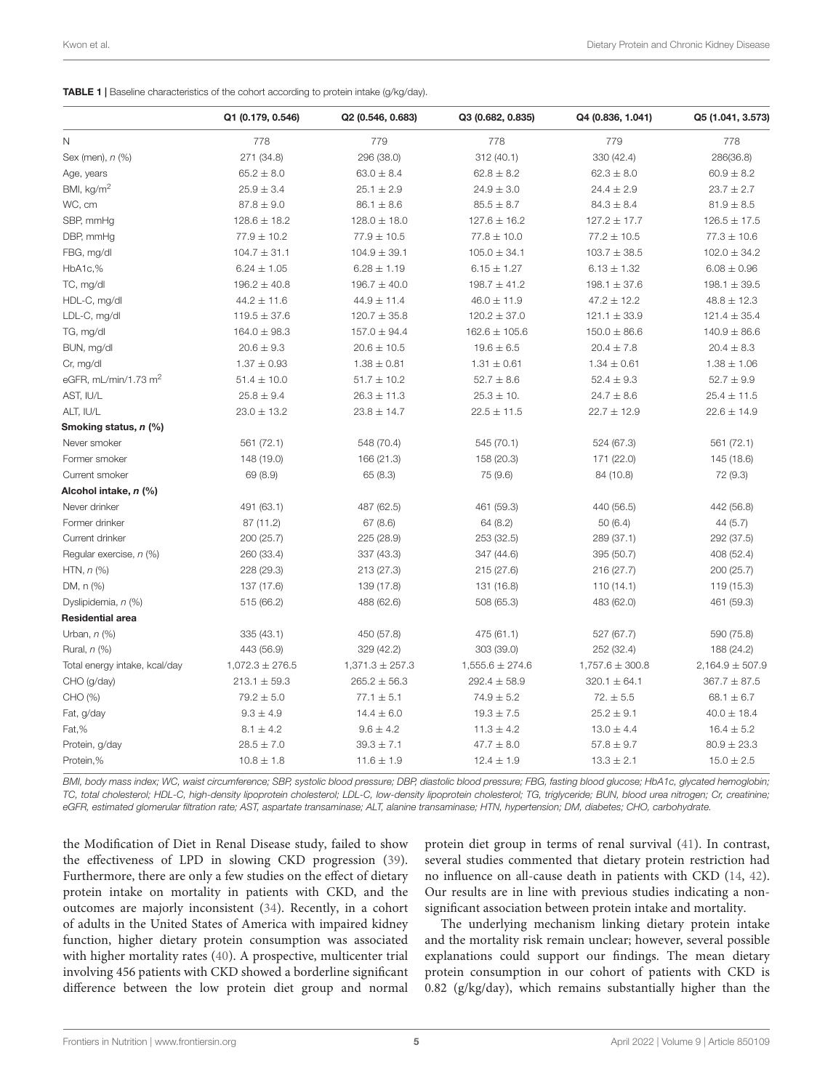<span id="page-4-0"></span>

| <b>TABLE 1</b>   Baseline characteristics of the cohort according to protein intake (g/kg/day). |  |
|-------------------------------------------------------------------------------------------------|--|
|-------------------------------------------------------------------------------------------------|--|

|                               | Q1 (0.179, 0.546)   | Q2 (0.546, 0.683)   | Q3 (0.682, 0.835)   | Q4 (0.836, 1.041)   | Q5 (1.041, 3.573)   |
|-------------------------------|---------------------|---------------------|---------------------|---------------------|---------------------|
| N                             | 778                 | 779                 | 778                 | 779                 | 778                 |
| Sex (men), n (%)              | 271 (34.8)          | 296 (38.0)          | 312(40.1)           | 330 (42.4)          | 286(36.8)           |
| Age, years                    | $65.2 \pm 8.0$      | $63.0 \pm 8.4$      | $62.8 \pm 8.2$      | $62.3 \pm 8.0$      | $60.9 \pm 8.2$      |
| BMI, kg/m <sup>2</sup>        | $25.9 \pm 3.4$      | $25.1 \pm 2.9$      | $24.9 \pm 3.0$      | $24.4 \pm 2.9$      | $23.7 \pm 2.7$      |
| WC, cm                        | $87.8 \pm 9.0$      | $86.1 \pm 8.6$      | $85.5 \pm 8.7$      | $84.3 \pm 8.4$      | $81.9 \pm 8.5$      |
| SBP, mmHg                     | $128.6 \pm 18.2$    | $128.0 \pm 18.0$    | $127.6 \pm 16.2$    | $127.2 \pm 17.7$    | $126.5 \pm 17.5$    |
| DBP, mmHg                     | $77.9 \pm 10.2$     | $77.9 \pm 10.5$     | $77.8 \pm 10.0$     | $77.2 \pm 10.5$     | $77.3 \pm 10.6$     |
| FBG, mg/dl                    | $104.7 \pm 31.1$    | $104.9 \pm 39.1$    | $105.0 \pm 34.1$    | $103.7 \pm 38.5$    | $102.0 \pm 34.2$    |
| HbA1c,%                       | $6.24 \pm 1.05$     | $6.28 \pm 1.19$     | $6.15 \pm 1.27$     | $6.13 \pm 1.32$     | $6.08 \pm 0.96$     |
| TC, mg/dl                     | $196.2 \pm 40.8$    | $196.7 \pm 40.0$    | $198.7 \pm 41.2$    | $198.1 \pm 37.6$    | $198.1 \pm 39.5$    |
| HDL-C, mg/dl                  | $44.2 \pm 11.6$     | $44.9 \pm 11.4$     | $46.0 \pm 11.9$     | $47.2 \pm 12.2$     | $48.8 \pm 12.3$     |
| LDL-C, mg/dl                  | $119.5 \pm 37.6$    | $120.7 \pm 35.8$    | $120.2 \pm 37.0$    | $121.1 \pm 33.9$    | $121.4 \pm 35.4$    |
| TG, mg/dl                     | $164.0 \pm 98.3$    | $157.0 \pm 94.4$    | $162.6 \pm 105.6$   | $150.0 \pm 86.6$    | $140.9 \pm 86.6$    |
| BUN, mg/dl                    | $20.6 \pm 9.3$      | $20.6 \pm 10.5$     | $19.6 \pm 6.5$      | $20.4 \pm 7.8$      | $20.4 \pm 8.3$      |
| Cr, mg/dl                     | $1.37 \pm 0.93$     | $1.38 \pm 0.81$     | $1.31 \pm 0.61$     | $1.34 \pm 0.61$     | $1.38 \pm 1.06$     |
| eGFR, mL/min/1.73 $m2$        | $51.4 \pm 10.0$     | $51.7 \pm 10.2$     | $52.7 \pm 8.6$      | $52.4 \pm 9.3$      | $52.7 \pm 9.9$      |
| AST, IU/L                     | $25.8 \pm 9.4$      | $26.3 \pm 11.3$     | $25.3 \pm 10.$      | $24.7 \pm 8.6$      | $25.4 \pm 11.5$     |
| ALT, IU/L                     | $23.0 \pm 13.2$     | $23.8 \pm 14.7$     | $22.5 \pm 11.5$     | $22.7 \pm 12.9$     | $22.6 \pm 14.9$     |
| Smoking status, n (%)         |                     |                     |                     |                     |                     |
| Never smoker                  | 561 (72.1)          | 548 (70.4)          | 545 (70.1)          | 524 (67.3)          | 561 (72.1)          |
| Former smoker                 | 148 (19.0)          | 166 (21.3)          | 158 (20.3)          | 171 (22.0)          | 145 (18.6)          |
| Current smoker                | 69 (8.9)            | 65 (8.3)            | 75 (9.6)            | 84 (10.8)           | 72 (9.3)            |
| Alcohol intake, n (%)         |                     |                     |                     |                     |                     |
| Never drinker                 | 491 (63.1)          | 487 (62.5)          | 461 (59.3)          | 440 (56.5)          | 442 (56.8)          |
| Former drinker                | 87 (11.2)           | 67(8.6)             | 64 (8.2)            | 50(6.4)             | 44 (5.7)            |
| Current drinker               | 200 (25.7)          | 225 (28.9)          | 253 (32.5)          | 289 (37.1)          | 292 (37.5)          |
| Regular exercise, n (%)       | 260 (33.4)          | 337 (43.3)          | 347 (44.6)          | 395 (50.7)          | 408 (52.4)          |
| HTN, $n$ $%$                  | 228 (29.3)          | 213 (27.3)          | 215 (27.6)          | 216 (27.7)          | 200 (25.7)          |
| DM, n (%)                     | 137 (17.6)          | 139 (17.8)          | 131 (16.8)          | 110 (14.1)          | 119 (15.3)          |
| Dyslipidemia, n (%)           | 515 (66.2)          | 488 (62.6)          | 508 (65.3)          | 483 (62.0)          | 461 (59.3)          |
| Residential area              |                     |                     |                     |                     |                     |
| Urban, $n$ (%)                | 335 (43.1)          | 450 (57.8)          | 475 (61.1)          | 527 (67.7)          | 590 (75.8)          |
| Rural, n (%)                  | 443 (56.9)          | 329 (42.2)          | 303 (39.0)          | 252 (32.4)          | 188 (24.2)          |
| Total energy intake, kcal/day | $1,072.3 \pm 276.5$ | $1,371.3 \pm 257.3$ | $1,555.6 \pm 274.6$ | $1,757.6 \pm 300.8$ | $2,164.9 \pm 507.9$ |
| CHO (g/day)                   | $213.1 \pm 59.3$    | $265.2 \pm 56.3$    | $292.4 \pm 58.9$    | $320.1 \pm 64.1$    | $367.7 \pm 87.5$    |
| CHO (%)                       | $79.2 \pm 5.0$      | $77.1 \pm 5.1$      | $74.9 \pm 5.2$      | $72. \pm 5.5$       | $68.1 \pm 6.7$      |
| Fat, g/day                    | $9.3 \pm 4.9$       | $14.4 \pm 6.0$      | $19.3 \pm 7.5$      | $25.2 \pm 9.1$      | $40.0 \pm 18.4$     |
| Fat,%                         | $8.1 \pm 4.2$       | $9.6 \pm 4.2$       | $11.3 \pm 4.2$      | $13.0 \pm 4.4$      | $16.4 \pm 5.2$      |
| Protein, g/day                | $28.5 \pm 7.0$      | $39.3 \pm 7.1$      | $47.7 \pm 8.0$      | $57.8 \pm 9.7$      | $80.9 \pm 23.3$     |
| Protein,%                     | $10.8 \pm 1.8$      | $11.6 \pm 1.9$      | $12.4 \pm 1.9$      | $13.3 \pm 2.1$      | $15.0 \pm 2.5$      |

BMI, body mass index; WC, waist circumference; SBP, systolic blood pressure; DBP, diastolic blood pressure; FBG, fasting blood glucose; HbA1c, glycated hemoglobin; TC, total cholesterol; HDL-C, high-density lipoprotein cholesterol; LDL-C, low-density lipoprotein cholesterol; TG, triglyceride; BUN, blood urea nitrogen; Cr, creatinine; eGFR, estimated glomerular filtration rate; AST, aspartate transaminase; ALT, alanine transaminase; HTN, hypertension; DM, diabetes; CHO, carbohydrate.

the Modification of Diet in Renal Disease study, failed to show the effectiveness of LPD in slowing CKD progression [\(39\)](#page-8-22). Furthermore, there are only a few studies on the effect of dietary protein intake on mortality in patients with CKD, and the outcomes are majorly inconsistent [\(34\)](#page-8-17). Recently, in a cohort of adults in the United States of America with impaired kidney function, higher dietary protein consumption was associated with higher mortality rates [\(40\)](#page-8-23). A prospective, multicenter trial involving 456 patients with CKD showed a borderline significant difference between the low protein diet group and normal

protein diet group in terms of renal survival [\(41\)](#page-8-24). In contrast, several studies commented that dietary protein restriction had no influence on all-cause death in patients with CKD [\(14,](#page-7-13) [42\)](#page-8-25). Our results are in line with previous studies indicating a nonsignificant association between protein intake and mortality.

The underlying mechanism linking dietary protein intake and the mortality risk remain unclear; however, several possible explanations could support our findings. The mean dietary protein consumption in our cohort of patients with CKD is 0.82 (g/kg/day), which remains substantially higher than the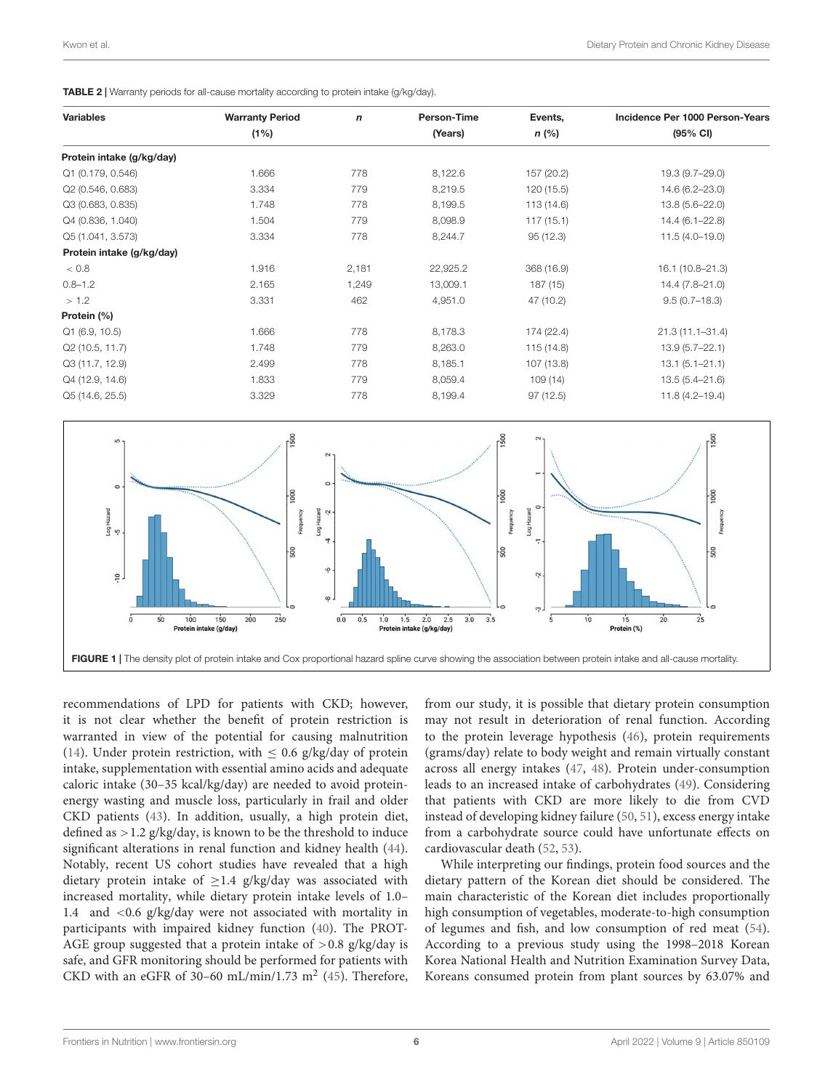| <b>Variables</b>          | <b>Warranty Period</b> | $\mathsf{n}$ | Person-Time | Events,    | Incidence Per 1000 Person-Years<br>(95% CI) |  |
|---------------------------|------------------------|--------------|-------------|------------|---------------------------------------------|--|
|                           | $(1\%)$                |              | (Years)     | n (%)      |                                             |  |
| Protein intake (g/kg/day) |                        |              |             |            |                                             |  |
| Q1 (0.179, 0.546)         | 1.666                  | 778          | 8,122.6     | 157 (20.2) | 19.3 (9.7-29.0)                             |  |
| Q2 (0.546, 0.683)         | 3.334                  | 779          | 8,219.5     | 120 (15.5) | 14.6 (6.2-23.0)                             |  |
| Q3 (0.683, 0.835)         | 1.748                  | 778          | 8,199.5     | 113 (14.6) | 13.8 (5.6-22.0)                             |  |
| Q4 (0.836, 1.040)         | 1.504                  | 779          | 8,098.9     | 117(15.1)  | $14.4(6.1 - 22.8)$                          |  |
| Q5 (1.041, 3.573)         | 3.334                  | 778          | 8,244.7     | 95 (12.3)  | $11.5(4.0 - 19.0)$                          |  |
| Protein intake (g/kg/day) |                        |              |             |            |                                             |  |
| < 0.8                     | 1.916                  | 2,181        | 22,925.2    | 368 (16.9) | 16.1 (10.8-21.3)                            |  |
| $0.8 - 1.2$               | 2.165                  | 1,249        | 13,009.1    | 187 (15)   | 14.4 (7.8-21.0)                             |  |
| > 1.2                     | 3.331                  | 462          | 4,951.0     | 47 (10.2)  | $9.5(0.7-18.3)$                             |  |
| Protein (%)               |                        |              |             |            |                                             |  |
| Q1 (6.9, 10.5)            | 1.666                  | 778          | 8,178.3     | 174 (22.4) | $21.3(11.1 - 31.4)$                         |  |
| Q2 (10.5, 11.7)           | 1.748                  | 779          | 8,263.0     | 115 (14.8) | $13.9(5.7 - 22.1)$                          |  |
| Q3 (11.7, 12.9)           | 2.499                  | 778          | 8,185.1     | 107 (13.8) | $13.1 (5.1 - 21.1)$                         |  |
| Q4 (12.9, 14.6)           | 1.833                  | 779          | 8,059.4     | 109(14)    | $13.5(5.4 - 21.6)$                          |  |
| Q5 (14.6, 25.5)           | 3.329                  | 778          | 8,199.4     | 97(12.5)   | $11.8(4.2 - 19.4)$                          |  |

<span id="page-5-0"></span>TABLE 2 | Warranty periods for all-cause mortality according to protein intake (g/kg/day).



<span id="page-5-1"></span>recommendations of LPD for patients with CKD; however, it is not clear whether the benefit of protein restriction is warranted in view of the potential for causing malnutrition [\(14\)](#page-7-13). Under protein restriction, with  $\leq$  0.6 g/kg/day of protein intake, supplementation with essential amino acids and adequate caloric intake (30–35 kcal/kg/day) are needed to avoid proteinenergy wasting and muscle loss, particularly in frail and older CKD patients [\(43\)](#page-8-26). In addition, usually, a high protein diet, defined as  $>1.2$  g/kg/day, is known to be the threshold to induce significant alterations in renal function and kidney health [\(44\)](#page-8-27). Notably, recent US cohort studies have revealed that a high dietary protein intake of  $\geq$  1.4 g/kg/day was associated with increased mortality, while dietary protein intake levels of 1.0– 1.4 and <0.6 g/kg/day were not associated with mortality in participants with impaired kidney function [\(40\)](#page-8-23). The PROT-AGE group suggested that a protein intake of  $> 0.8$  g/kg/day is safe, and GFR monitoring should be performed for patients with CKD with an eGFR of 30-60 mL/min/1.73  $m^2$  [\(45\)](#page-8-28). Therefore,

from our study, it is possible that dietary protein consumption may not result in deterioration of renal function. According to the protein leverage hypothesis [\(46\)](#page-8-29), protein requirements (grams/day) relate to body weight and remain virtually constant across all energy intakes [\(47,](#page-8-30) [48\)](#page-8-31). Protein under-consumption leads to an increased intake of carbohydrates [\(49\)](#page-8-32). Considering that patients with CKD are more likely to die from CVD instead of developing kidney failure [\(50,](#page-8-33) [51\)](#page-8-34), excess energy intake from a carbohydrate source could have unfortunate effects on cardiovascular death [\(52,](#page-8-35) [53\)](#page-8-36).

While interpreting our findings, protein food sources and the dietary pattern of the Korean diet should be considered. The main characteristic of the Korean diet includes proportionally high consumption of vegetables, moderate-to-high consumption of legumes and fish, and low consumption of red meat [\(54\)](#page-8-37). According to a previous study using the 1998–2018 Korean Korea National Health and Nutrition Examination Survey Data, Koreans consumed protein from plant sources by 63.07% and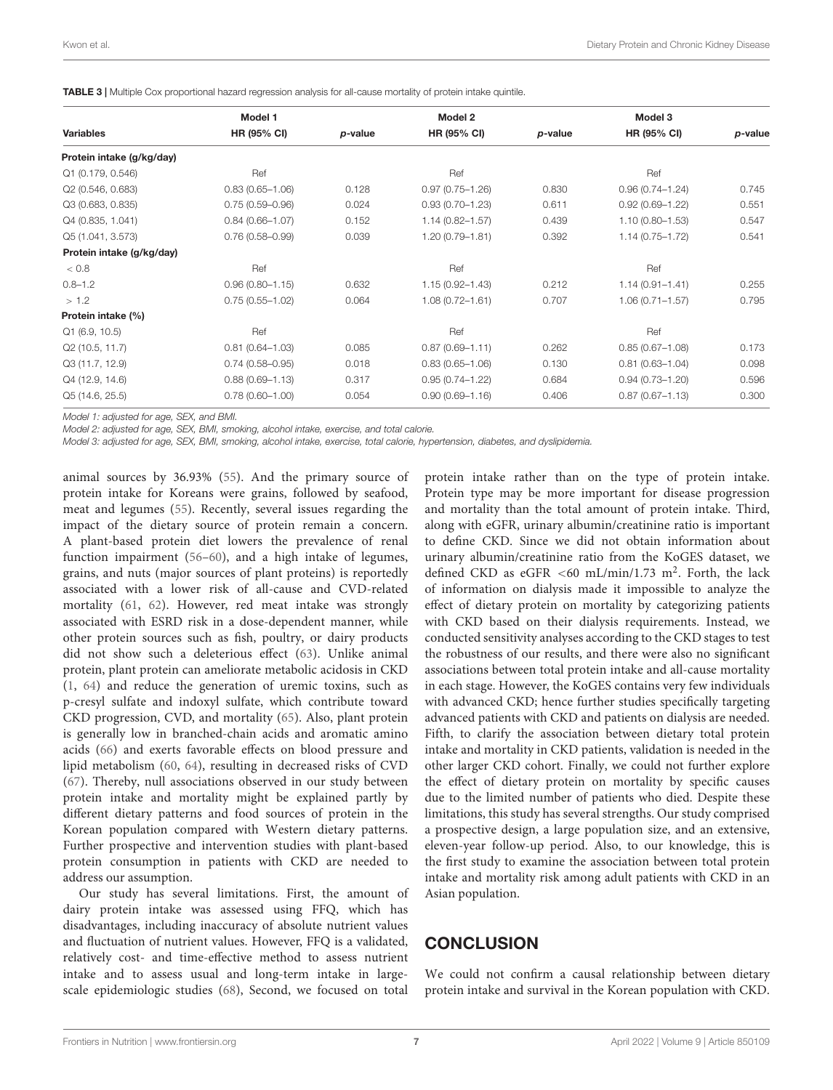|                           | Model 1             |         | Model 2             |         | Model 3             |         |
|---------------------------|---------------------|---------|---------------------|---------|---------------------|---------|
| <b>Variables</b>          | <b>HR (95% CI)</b>  | p-value | HR (95% CI)         | p-value | HR (95% CI)         | p-value |
| Protein intake (g/kg/day) |                     |         |                     |         |                     |         |
| Q1 (0.179, 0.546)         | Ref                 |         | Ref                 |         | Ref                 |         |
| Q2 (0.546, 0.683)         | $0.83(0.65 - 1.06)$ | 0.128   | $0.97(0.75 - 1.26)$ | 0.830   | $0.96(0.74 - 1.24)$ | 0.745   |
| Q3 (0.683, 0.835)         | $0.75(0.59 - 0.96)$ | 0.024   | $0.93(0.70 - 1.23)$ | 0.611   | $0.92(0.69 - 1.22)$ | 0.551   |
| Q4 (0.835, 1.041)         | $0.84(0.66 - 1.07)$ | 0.152   | $1.14(0.82 - 1.57)$ | 0.439   | $1.10(0.80 - 1.53)$ | 0.547   |
| Q5 (1.041, 3.573)         | $0.76(0.58 - 0.99)$ | 0.039   | $1.20(0.79 - 1.81)$ | 0.392   | $1.14(0.75 - 1.72)$ | 0.541   |
| Protein intake (g/kg/day) |                     |         |                     |         |                     |         |
| < 0.8                     | Ref                 |         | Ref                 |         | Ref                 |         |
| $0.8 - 1.2$               | $0.96(0.80 - 1.15)$ | 0.632   | $1.15(0.92 - 1.43)$ | 0.212   | $1.14(0.91 - 1.41)$ | 0.255   |
| > 1.2                     | $0.75(0.55 - 1.02)$ | 0.064   | $1.08(0.72 - 1.61)$ | 0.707   | $1.06(0.71 - 1.57)$ | 0.795   |
| Protein intake (%)        |                     |         |                     |         |                     |         |
| Q1(6.9, 10.5)             | Ref                 |         | Ref                 |         | Ref                 |         |
| Q2 (10.5, 11.7)           | $0.81(0.64 - 1.03)$ | 0.085   | $0.87(0.69 - 1.11)$ | 0.262   | $0.85(0.67 - 1.08)$ | 0.173   |
| Q3 (11.7, 12.9)           | $0.74(0.58 - 0.95)$ | 0.018   | $0.83(0.65 - 1.06)$ | 0.130   | $0.81(0.63 - 1.04)$ | 0.098   |
| Q4 (12.9, 14.6)           | $0.88(0.69 - 1.13)$ | 0.317   | $0.95(0.74 - 1.22)$ | 0.684   | $0.94(0.73 - 1.20)$ | 0.596   |
| Q5 (14.6, 25.5)           | $0.78(0.60 - 1.00)$ | 0.054   | $0.90(0.69 - 1.16)$ | 0.406   | $0.87(0.67 - 1.13)$ | 0.300   |

<span id="page-6-0"></span>TABLE 3 | Multiple Cox proportional hazard regression analysis for all-cause mortality of protein intake quintile

Model 1: adjusted for age, SEX, and BMI.

Model 2: adjusted for age, SEX, BMI, smoking, alcohol intake, exercise, and total calorie.

Model 3: adjusted for age, SEX, BMI, smoking, alcohol intake, exercise, total calorie, hypertension, diabetes, and dyslipidemia.

animal sources by 36.93% [\(55\)](#page-8-38). And the primary source of protein intake for Koreans were grains, followed by seafood, meat and legumes [\(55\)](#page-8-38). Recently, several issues regarding the impact of the dietary source of protein remain a concern. A plant-based protein diet lowers the prevalence of renal function impairment [\(56](#page-8-39)[–60\)](#page-9-0), and a high intake of legumes, grains, and nuts (major sources of plant proteins) is reportedly associated with a lower risk of all-cause and CVD-related mortality [\(61,](#page-9-1) [62\)](#page-9-2). However, red meat intake was strongly associated with ESRD risk in a dose-dependent manner, while other protein sources such as fish, poultry, or dairy products did not show such a deleterious effect [\(63\)](#page-9-3). Unlike animal protein, plant protein can ameliorate metabolic acidosis in CKD [\(1,](#page-7-0) [64\)](#page-9-4) and reduce the generation of uremic toxins, such as p-cresyl sulfate and indoxyl sulfate, which contribute toward CKD progression, CVD, and mortality [\(65\)](#page-9-5). Also, plant protein is generally low in branched-chain acids and aromatic amino acids [\(66\)](#page-9-6) and exerts favorable effects on blood pressure and lipid metabolism [\(60,](#page-9-0) [64\)](#page-9-4), resulting in decreased risks of CVD [\(67\)](#page-9-7). Thereby, null associations observed in our study between protein intake and mortality might be explained partly by different dietary patterns and food sources of protein in the Korean population compared with Western dietary patterns. Further prospective and intervention studies with plant-based protein consumption in patients with CKD are needed to address our assumption.

Our study has several limitations. First, the amount of dairy protein intake was assessed using FFQ, which has disadvantages, including inaccuracy of absolute nutrient values and fluctuation of nutrient values. However, FFQ is a validated, relatively cost- and time-effective method to assess nutrient intake and to assess usual and long-term intake in largescale epidemiologic studies [\(68\)](#page-9-8), Second, we focused on total

protein intake rather than on the type of protein intake. Protein type may be more important for disease progression and mortality than the total amount of protein intake. Third, along with eGFR, urinary albumin/creatinine ratio is important to define CKD. Since we did not obtain information about urinary albumin/creatinine ratio from the KoGES dataset, we defined CKD as eGFR <60 mL/min/1.73 m<sup>2</sup>. Forth, the lack of information on dialysis made it impossible to analyze the effect of dietary protein on mortality by categorizing patients with CKD based on their dialysis requirements. Instead, we conducted sensitivity analyses according to the CKD stages to test the robustness of our results, and there were also no significant associations between total protein intake and all-cause mortality in each stage. However, the KoGES contains very few individuals with advanced CKD; hence further studies specifically targeting advanced patients with CKD and patients on dialysis are needed. Fifth, to clarify the association between dietary total protein intake and mortality in CKD patients, validation is needed in the other larger CKD cohort. Finally, we could not further explore the effect of dietary protein on mortality by specific causes due to the limited number of patients who died. Despite these limitations, this study has several strengths. Our study comprised a prospective design, a large population size, and an extensive, eleven-year follow-up period. Also, to our knowledge, this is the first study to examine the association between total protein intake and mortality risk among adult patients with CKD in an Asian population.

#### **CONCLUSION**

We could not confirm a causal relationship between dietary protein intake and survival in the Korean population with CKD.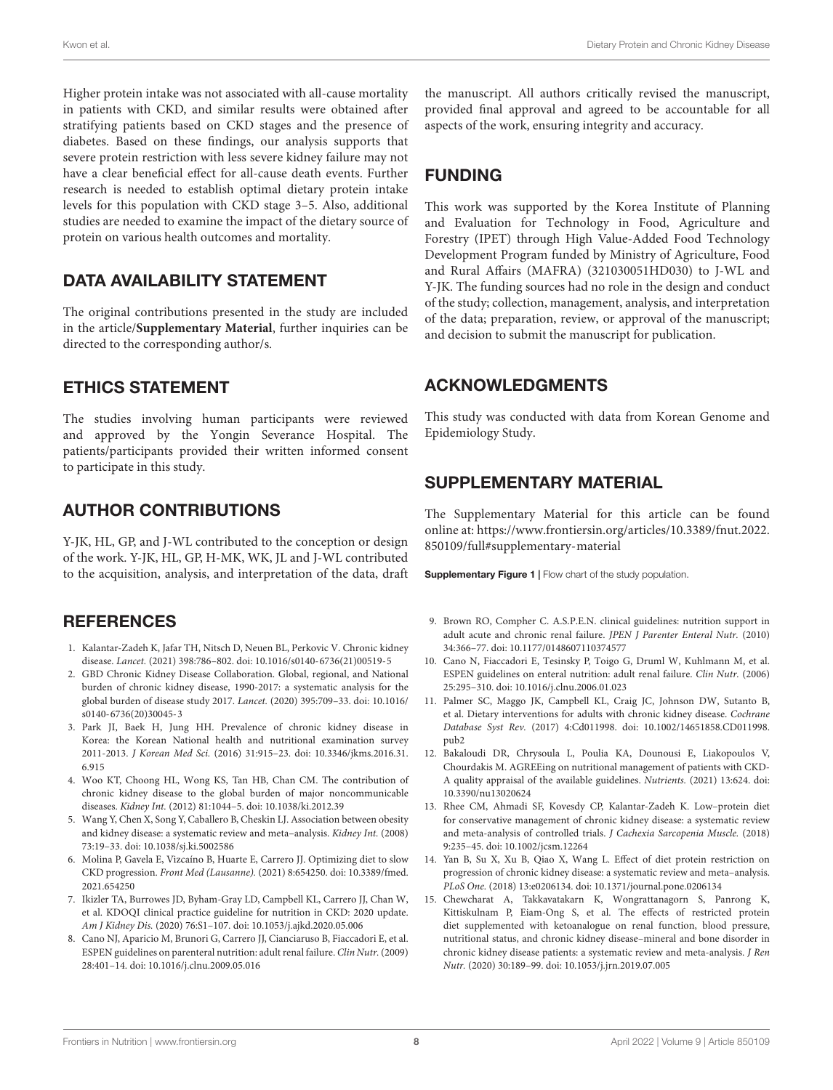Higher protein intake was not associated with all-cause mortality in patients with CKD, and similar results were obtained after stratifying patients based on CKD stages and the presence of diabetes. Based on these findings, our analysis supports that severe protein restriction with less severe kidney failure may not have a clear beneficial effect for all-cause death events. Further research is needed to establish optimal dietary protein intake levels for this population with CKD stage 3–5. Also, additional studies are needed to examine the impact of the dietary source of protein on various health outcomes and mortality.

#### DATA AVAILABILITY STATEMENT

The original contributions presented in the study are included in the article/**[Supplementary Material](#page-7-12)**, further inquiries can be directed to the corresponding author/s.

### ETHICS STATEMENT

The studies involving human participants were reviewed and approved by the Yongin Severance Hospital. The patients/participants provided their written informed consent to participate in this study.

## AUTHOR CONTRIBUTIONS

Y-JK, HL, GP, and J-WL contributed to the conception or design of the work. Y-JK, HL, GP, H-MK, WK, JL and J-WL contributed to the acquisition, analysis, and interpretation of the data, draft

### **REFERENCES**

- <span id="page-7-0"></span>1. Kalantar-Zadeh K, Jafar TH, Nitsch D, Neuen BL, Perkovic V. Chronic kidney disease. Lancet. (2021) 398:786–802. [doi: 10.1016/s0140-6736\(21\)00519-5](https://doi.org/10.1016/s0140-6736(21)00519-5)
- <span id="page-7-1"></span>2. GBD Chronic Kidney Disease Collaboration. Global, regional, and National burden of chronic kidney disease, 1990-2017: a systematic analysis for the global burden of disease study 2017. Lancet. (2020) 395:709–33. [doi: 10.1016/](https://doi.org/10.1016/s0140-6736(20)30045-3) [s0140-6736\(20\)30045-3](https://doi.org/10.1016/s0140-6736(20)30045-3)
- <span id="page-7-2"></span>3. Park JI, Baek H, Jung HH. Prevalence of chronic kidney disease in Korea: the Korean National health and nutritional examination survey 2011-2013. J Korean Med Sci. (2016) 31:915–23. [doi: 10.3346/jkms.2016.31.](https://doi.org/10.3346/jkms.2016.31.6.915) [6.915](https://doi.org/10.3346/jkms.2016.31.6.915)
- <span id="page-7-3"></span>4. Woo KT, Choong HL, Wong KS, Tan HB, Chan CM. The contribution of chronic kidney disease to the global burden of major noncommunicable diseases. Kidney Int. (2012) 81:1044–5. [doi: 10.1038/ki.2012.39](https://doi.org/10.1038/ki.2012.39)
- <span id="page-7-4"></span>5. Wang Y, Chen X, Song Y, Caballero B, Cheskin LJ. Association between obesity and kidney disease: a systematic review and meta–analysis. Kidney Int. (2008) 73:19–33. [doi: 10.1038/sj.ki.5002586](https://doi.org/10.1038/sj.ki.5002586)
- <span id="page-7-5"></span>6. Molina P, Gavela E, Vizcaíno B, Huarte E, Carrero JJ. Optimizing diet to slow CKD progression. Front Med (Lausanne). (2021) 8:654250. [doi: 10.3389/fmed.](https://doi.org/10.3389/fmed.2021.654250) [2021.654250](https://doi.org/10.3389/fmed.2021.654250)
- <span id="page-7-6"></span>7. Ikizler TA, Burrowes JD, Byham-Gray LD, Campbell KL, Carrero JJ, Chan W, et al. KDOQI clinical practice guideline for nutrition in CKD: 2020 update. Am J Kidney Dis. (2020) 76:S1–107. [doi: 10.1053/j.ajkd.2020.05.006](https://doi.org/10.1053/j.ajkd.2020.05.006)
- 8. Cano NJ, Aparicio M, Brunori G, Carrero JJ, Cianciaruso B, Fiaccadori E, et al. ESPEN guidelines on parenteral nutrition: adult renal failure. Clin Nutr. (2009) 28:401–14. [doi: 10.1016/j.clnu.2009.05.016](https://doi.org/10.1016/j.clnu.2009.05.016)

the manuscript. All authors critically revised the manuscript, provided final approval and agreed to be accountable for all aspects of the work, ensuring integrity and accuracy.

# FUNDING

This work was supported by the Korea Institute of Planning and Evaluation for Technology in Food, Agriculture and Forestry (IPET) through High Value-Added Food Technology Development Program funded by Ministry of Agriculture, Food and Rural Affairs (MAFRA) (321030051HD030) to J-WL and Y-JK. The funding sources had no role in the design and conduct of the study; collection, management, analysis, and interpretation of the data; preparation, review, or approval of the manuscript; and decision to submit the manuscript for publication.

### ACKNOWLEDGMENTS

This study was conducted with data from Korean Genome and Epidemiology Study.

### <span id="page-7-12"></span>SUPPLEMENTARY MATERIAL

The Supplementary Material for this article can be found online at: [https://www.frontiersin.org/articles/10.3389/fnut.2022.](https://www.frontiersin.org/articles/10.3389/fnut.2022.850109/full#supplementary-material) [850109/full#supplementary-material](https://www.frontiersin.org/articles/10.3389/fnut.2022.850109/full#supplementary-material)

Supplementary Figure 1 | Flow chart of the study population.

- 9. Brown RO, Compher C. A.S.P.E.N. clinical guidelines: nutrition support in adult acute and chronic renal failure. JPEN J Parenter Enteral Nutr. (2010) 34:366–77. [doi: 10.1177/0148607110374577](https://doi.org/10.1177/0148607110374577)
- <span id="page-7-7"></span>10. Cano N, Fiaccadori E, Tesinsky P, Toigo G, Druml W, Kuhlmann M, et al. ESPEN guidelines on enteral nutrition: adult renal failure. Clin Nutr. (2006) 25:295–310. [doi: 10.1016/j.clnu.2006.01.023](https://doi.org/10.1016/j.clnu.2006.01.023)
- <span id="page-7-8"></span>11. Palmer SC, Maggo JK, Campbell KL, Craig JC, Johnson DW, Sutanto B, et al. Dietary interventions for adults with chronic kidney disease. Cochrane Database Syst Rev. (2017) 4:Cd011998. [doi: 10.1002/14651858.CD011998.](https://doi.org/10.1002/14651858.CD011998.pub2) [pub2](https://doi.org/10.1002/14651858.CD011998.pub2)
- <span id="page-7-9"></span>12. Bakaloudi DR, Chrysoula L, Poulia KA, Dounousi E, Liakopoulos V, Chourdakis M. AGREEing on nutritional management of patients with CKD-A quality appraisal of the available guidelines. Nutrients. (2021) 13:624. [doi:](https://doi.org/10.3390/nu13020624) [10.3390/nu13020624](https://doi.org/10.3390/nu13020624)
- <span id="page-7-10"></span>13. Rhee CM, Ahmadi SF, Kovesdy CP, Kalantar-Zadeh K. Low–protein diet for conservative management of chronic kidney disease: a systematic review and meta-analysis of controlled trials. J Cachexia Sarcopenia Muscle. (2018) 9:235–45. [doi: 10.1002/jcsm.12264](https://doi.org/10.1002/jcsm.12264)
- <span id="page-7-13"></span>14. Yan B, Su X, Xu B, Qiao X, Wang L. Effect of diet protein restriction on progression of chronic kidney disease: a systematic review and meta–analysis. PLoS One. (2018) 13:e0206134. [doi: 10.1371/journal.pone.0206134](https://doi.org/10.1371/journal.pone.0206134)
- <span id="page-7-11"></span>15. Chewcharat A, Takkavatakarn K, Wongrattanagorn S, Panrong K, Kittiskulnam P, Eiam-Ong S, et al. The effects of restricted protein diet supplemented with ketoanalogue on renal function, blood pressure, nutritional status, and chronic kidney disease–mineral and bone disorder in chronic kidney disease patients: a systematic review and meta-analysis. J Ren Nutr. (2020) 30:189–99. [doi: 10.1053/j.jrn.2019.07.005](https://doi.org/10.1053/j.jrn.2019.07.005)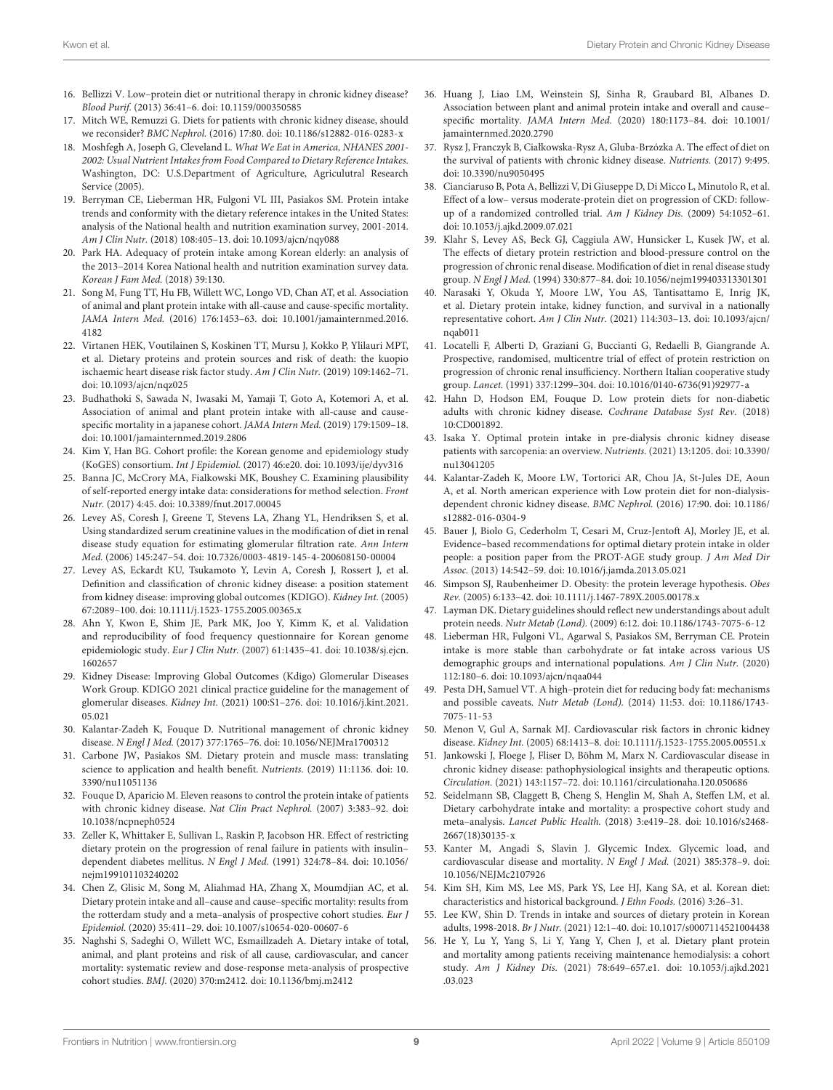- <span id="page-8-0"></span>16. Bellizzi V. Low–protein diet or nutritional therapy in chronic kidney disease? Blood Purif. (2013) 36:41–6. [doi: 10.1159/000350585](https://doi.org/10.1159/000350585)
- <span id="page-8-1"></span>17. Mitch WE, Remuzzi G. Diets for patients with chronic kidney disease, should we reconsider? BMC Nephrol. (2016) 17:80. [doi: 10.1186/s12882-016-0283-x](https://doi.org/10.1186/s12882-016-0283-x)
- <span id="page-8-2"></span>18. Moshfegh A, Joseph G, Cleveland L. What We Eat in America, NHANES 2001- 2002: Usual Nutrient Intakes from Food Compared to Dietary Reference Intakes. Washington, DC: U.S.Department of Agriculture, Agriculutral Research Service (2005).
- <span id="page-8-3"></span>19. Berryman CE, Lieberman HR, Fulgoni VL III, Pasiakos SM. Protein intake trends and conformity with the dietary reference intakes in the United States: analysis of the National health and nutrition examination survey, 2001-2014. Am J Clin Nutr. (2018) 108:405–13. [doi: 10.1093/ajcn/nqy088](https://doi.org/10.1093/ajcn/nqy088)
- <span id="page-8-4"></span>20. Park HA. Adequacy of protein intake among Korean elderly: an analysis of the 2013–2014 Korea National health and nutrition examination survey data. Korean J Fam Med. (2018) 39:130.
- <span id="page-8-5"></span>21. Song M, Fung TT, Hu FB, Willett WC, Longo VD, Chan AT, et al. Association of animal and plant protein intake with all-cause and cause-specific mortality. JAMA Intern Med. (2016) 176:1453–63. [doi: 10.1001/jamainternmed.2016.](https://doi.org/10.1001/jamainternmed.2016.4182) [4182](https://doi.org/10.1001/jamainternmed.2016.4182)
- 22. Virtanen HEK, Voutilainen S, Koskinen TT, Mursu J, Kokko P, Ylilauri MPT, et al. Dietary proteins and protein sources and risk of death: the kuopio ischaemic heart disease risk factor study. Am J Clin Nutr. (2019) 109:1462–71. [doi: 10.1093/ajcn/nqz025](https://doi.org/10.1093/ajcn/nqz025)
- <span id="page-8-6"></span>23. Budhathoki S, Sawada N, Iwasaki M, Yamaji T, Goto A, Kotemori A, et al. Association of animal and plant protein intake with all-cause and causespecific mortality in a japanese cohort. JAMA Intern Med. (2019) 179:1509–18. [doi: 10.1001/jamainternmed.2019.2806](https://doi.org/10.1001/jamainternmed.2019.2806)
- <span id="page-8-7"></span>24. Kim Y, Han BG. Cohort profile: the Korean genome and epidemiology study (KoGES) consortium. Int J Epidemiol. (2017) 46:e20. [doi: 10.1093/ije/dyv316](https://doi.org/10.1093/ije/dyv316)
- <span id="page-8-8"></span>25. Banna JC, McCrory MA, Fialkowski MK, Boushey C. Examining plausibility of self-reported energy intake data: considerations for method selection. Front Nutr. (2017) 4:45. [doi: 10.3389/fnut.2017.00045](https://doi.org/10.3389/fnut.2017.00045)
- <span id="page-8-9"></span>26. Levey AS, Coresh J, Greene T, Stevens LA, Zhang YL, Hendriksen S, et al. Using standardized serum creatinine values in the modification of diet in renal disease study equation for estimating glomerular filtration rate. Ann Intern Med. (2006) 145:247–54. [doi: 10.7326/0003-4819-145-4-200608150-00004](https://doi.org/10.7326/0003-4819-145-4-200608150-00004)
- <span id="page-8-10"></span>27. Levey AS, Eckardt KU, Tsukamoto Y, Levin A, Coresh J, Rossert J, et al. Definition and classification of chronic kidney disease: a position statement from kidney disease: improving global outcomes (KDIGO). Kidney Int. (2005) 67:2089–100. [doi: 10.1111/j.1523-1755.2005.00365.x](https://doi.org/10.1111/j.1523-1755.2005.00365.x)
- <span id="page-8-11"></span>28. Ahn Y, Kwon E, Shim JE, Park MK, Joo Y, Kimm K, et al. Validation and reproducibility of food frequency questionnaire for Korean genome epidemiologic study. Eur J Clin Nutr. (2007) 61:1435–41. [doi: 10.1038/sj.ejcn.](https://doi.org/10.1038/sj.ejcn.1602657) [1602657](https://doi.org/10.1038/sj.ejcn.1602657)
- <span id="page-8-12"></span>29. Kidney Disease: Improving Global Outcomes (Kdigo) Glomerular Diseases Work Group. KDIGO 2021 clinical practice guideline for the management of glomerular diseases. Kidney Int. (2021) 100:S1–276. [doi: 10.1016/j.kint.2021.](https://doi.org/10.1016/j.kint.2021.05.021) [05.021](https://doi.org/10.1016/j.kint.2021.05.021)
- <span id="page-8-13"></span>30. Kalantar-Zadeh K, Fouque D. Nutritional management of chronic kidney disease. N Engl J Med. (2017) 377:1765–76. [doi: 10.1056/NEJMra1700312](https://doi.org/10.1056/NEJMra1700312)
- <span id="page-8-14"></span>31. Carbone JW, Pasiakos SM. Dietary protein and muscle mass: translating science to application and health benefit. Nutrients. (2019) 11:1136. [doi: 10.](https://doi.org/10.3390/nu11051136) [3390/nu11051136](https://doi.org/10.3390/nu11051136)
- <span id="page-8-15"></span>32. Fouque D, Aparicio M. Eleven reasons to control the protein intake of patients with chronic kidney disease. Nat Clin Pract Nephrol. (2007) 3:383–92. [doi:](https://doi.org/10.1038/ncpneph0524) [10.1038/ncpneph0524](https://doi.org/10.1038/ncpneph0524)
- <span id="page-8-16"></span>33. Zeller K, Whittaker E, Sullivan L, Raskin P, Jacobson HR. Effect of restricting dietary protein on the progression of renal failure in patients with insulin– dependent diabetes mellitus. N Engl J Med. (1991) 324:78–84. [doi: 10.1056/](https://doi.org/10.1056/nejm199101103240202) [nejm199101103240202](https://doi.org/10.1056/nejm199101103240202)
- <span id="page-8-17"></span>34. Chen Z, Glisic M, Song M, Aliahmad HA, Zhang X, Moumdjian AC, et al. Dietary protein intake and all–cause and cause–specific mortality: results from the rotterdam study and a meta–analysis of prospective cohort studies. Eur J Epidemiol. (2020) 35:411–29. [doi: 10.1007/s10654-020-00607-6](https://doi.org/10.1007/s10654-020-00607-6)
- <span id="page-8-19"></span>35. Naghshi S, Sadeghi O, Willett WC, Esmaillzadeh A. Dietary intake of total, animal, and plant proteins and risk of all cause, cardiovascular, and cancer mortality: systematic review and dose-response meta-analysis of prospective cohort studies. BMJ. (2020) 370:m2412. [doi: 10.1136/bmj.m2412](https://doi.org/10.1136/bmj.m2412)
- <span id="page-8-18"></span>36. Huang J, Liao LM, Weinstein SJ, Sinha R, Graubard BI, Albanes D. Association between plant and animal protein intake and overall and cause– specific mortality. JAMA Intern Med. (2020) 180:1173–84. [doi: 10.1001/](https://doi.org/10.1001/jamainternmed.2020.2790) [jamainternmed.2020.2790](https://doi.org/10.1001/jamainternmed.2020.2790)
- <span id="page-8-20"></span>37. Rysz J, Franczyk B, Ciałkowska-Rysz A, Gluba-Brzózka A. The effect of diet on the survival of patients with chronic kidney disease. Nutrients. (2017) 9:495. [doi: 10.3390/nu9050495](https://doi.org/10.3390/nu9050495)
- <span id="page-8-21"></span>38. Cianciaruso B, Pota A, Bellizzi V, Di Giuseppe D, Di Micco L, Minutolo R, et al. Effect of a low– versus moderate-protein diet on progression of CKD: followup of a randomized controlled trial. Am J Kidney Dis. (2009) 54:1052–61. [doi: 10.1053/j.ajkd.2009.07.021](https://doi.org/10.1053/j.ajkd.2009.07.021)
- <span id="page-8-22"></span>39. Klahr S, Levey AS, Beck GJ, Caggiula AW, Hunsicker L, Kusek JW, et al. The effects of dietary protein restriction and blood-pressure control on the progression of chronic renal disease. Modification of diet in renal disease study group. N Engl J Med. (1994) 330:877–84. [doi: 10.1056/nejm199403313301301](https://doi.org/10.1056/nejm199403313301301)
- <span id="page-8-23"></span>40. Narasaki Y, Okuda Y, Moore LW, You AS, Tantisattamo E, Inrig JK, et al. Dietary protein intake, kidney function, and survival in a nationally representative cohort. Am J Clin Nutr. (2021) 114:303–13. [doi: 10.1093/ajcn/](https://doi.org/10.1093/ajcn/nqab011) [nqab011](https://doi.org/10.1093/ajcn/nqab011)
- <span id="page-8-24"></span>41. Locatelli F, Alberti D, Graziani G, Buccianti G, Redaelli B, Giangrande A. Prospective, randomised, multicentre trial of effect of protein restriction on progression of chronic renal insufficiency. Northern Italian cooperative study group. Lancet. (1991) 337:1299–304. [doi: 10.1016/0140-6736\(91\)92977-a](https://doi.org/10.1016/0140-6736(91)92977-a)
- <span id="page-8-25"></span>42. Hahn D, Hodson EM, Fouque D. Low protein diets for non-diabetic adults with chronic kidney disease. Cochrane Database Syst Rev. (2018) 10:CD001892.
- <span id="page-8-26"></span>43. Isaka Y. Optimal protein intake in pre-dialysis chronic kidney disease patients with sarcopenia: an overview. Nutrients. (2021) 13:1205. [doi: 10.3390/](https://doi.org/10.3390/nu13041205) [nu13041205](https://doi.org/10.3390/nu13041205)
- <span id="page-8-27"></span>44. Kalantar-Zadeh K, Moore LW, Tortorici AR, Chou JA, St-Jules DE, Aoun A, et al. North american experience with Low protein diet for non-dialysisdependent chronic kidney disease. BMC Nephrol. (2016) 17:90. [doi: 10.1186/](https://doi.org/10.1186/s12882-016-0304-9) [s12882-016-0304-9](https://doi.org/10.1186/s12882-016-0304-9)
- <span id="page-8-28"></span>45. Bauer J, Biolo G, Cederholm T, Cesari M, Cruz-Jentoft AJ, Morley JE, et al. Evidence–based recommendations for optimal dietary protein intake in older people: a position paper from the PROT-AGE study group. J Am Med Dir Assoc. (2013) 14:542–59. [doi: 10.1016/j.jamda.2013.05.021](https://doi.org/10.1016/j.jamda.2013.05.021)
- <span id="page-8-29"></span>46. Simpson SJ, Raubenheimer D. Obesity: the protein leverage hypothesis. Obes Rev. (2005) 6:133–42. [doi: 10.1111/j.1467-789X.2005.00178.x](https://doi.org/10.1111/j.1467-789X.2005.00178.x)
- <span id="page-8-30"></span>47. Layman DK. Dietary guidelines should reflect new understandings about adult protein needs. Nutr Metab (Lond). (2009) 6:12. [doi: 10.1186/1743-7075-6-12](https://doi.org/10.1186/1743-7075-6-12)
- <span id="page-8-31"></span>48. Lieberman HR, Fulgoni VL, Agarwal S, Pasiakos SM, Berryman CE. Protein intake is more stable than carbohydrate or fat intake across various US demographic groups and international populations. Am J Clin Nutr. (2020) 112:180–6. [doi: 10.1093/ajcn/nqaa044](https://doi.org/10.1093/ajcn/nqaa044)
- <span id="page-8-32"></span>49. Pesta DH, Samuel VT. A high–protein diet for reducing body fat: mechanisms and possible caveats. Nutr Metab (Lond). (2014) 11:53. [doi: 10.1186/1743-](https://doi.org/10.1186/1743-7075-11-53) [7075-11-53](https://doi.org/10.1186/1743-7075-11-53)
- <span id="page-8-33"></span>50. Menon V, Gul A, Sarnak MJ. Cardiovascular risk factors in chronic kidney disease. Kidney Int. (2005) 68:1413–8. [doi: 10.1111/j.1523-1755.2005.00551.x](https://doi.org/10.1111/j.1523-1755.2005.00551.x)
- <span id="page-8-34"></span>51. Jankowski J, Floege J, Fliser D, Böhm M, Marx N. Cardiovascular disease in chronic kidney disease: pathophysiological insights and therapeutic options. Circulation. (2021) 143:1157–72. [doi: 10.1161/circulationaha.120.050686](https://doi.org/10.1161/circulationaha.120.050686)
- <span id="page-8-35"></span>52. Seidelmann SB, Claggett B, Cheng S, Henglin M, Shah A, Steffen LM, et al. Dietary carbohydrate intake and mortality: a prospective cohort study and meta–analysis. Lancet Public Health. (2018) 3:e419–28. [doi: 10.1016/s2468-](https://doi.org/10.1016/s2468-2667(18)30135-x) [2667\(18\)30135-x](https://doi.org/10.1016/s2468-2667(18)30135-x)
- <span id="page-8-36"></span>53. Kanter M, Angadi S, Slavin J. Glycemic Index. Glycemic load, and cardiovascular disease and mortality. N Engl J Med. (2021) 385:378–9. [doi:](https://doi.org/10.1056/NEJMc2107926) [10.1056/NEJMc2107926](https://doi.org/10.1056/NEJMc2107926)
- <span id="page-8-37"></span>54. Kim SH, Kim MS, Lee MS, Park YS, Lee HJ, Kang SA, et al. Korean diet: characteristics and historical background. J Ethn Foods. (2016) 3:26–31.
- <span id="page-8-38"></span>55. Lee KW, Shin D. Trends in intake and sources of dietary protein in Korean adults, 1998-2018. Br J Nutr. (2021) 12:1–40. [doi: 10.1017/s0007114521004438](https://doi.org/10.1017/s0007114521004438)
- <span id="page-8-39"></span>56. He Y, Lu Y, Yang S, Li Y, Yang Y, Chen J, et al. Dietary plant protein and mortality among patients receiving maintenance hemodialysis: a cohort study. Am J Kidney Dis. (2021) 78:649–657.e1. [doi: 10.1053/j.ajkd.2021](https://doi.org/10.1053/j.ajkd.2021.03.023) [.03.023](https://doi.org/10.1053/j.ajkd.2021.03.023)